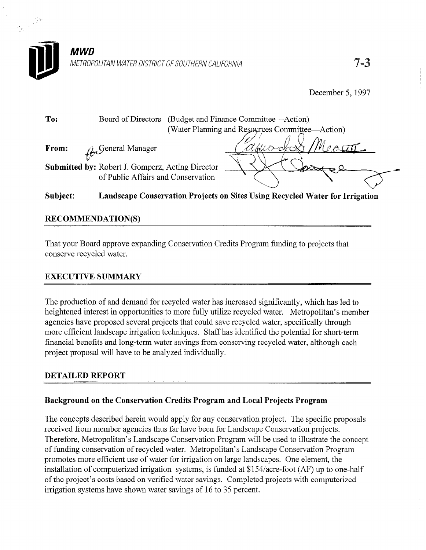

December 5,1997

| To:   | Board of Directors                                                                                                          | (Budget and Finance Committee—Action)           |  |
|-------|-----------------------------------------------------------------------------------------------------------------------------|-------------------------------------------------|--|
|       |                                                                                                                             | (Water Planning and Resources Committee—Action) |  |
| From: | $\mathcal{L}_{n}$ General Manager<br>Submitted by: Robert J. Gomperz, Acting Director<br>of Public Affairs and Conservation | <u>ANNO OX</u> T                                |  |

### Subject: Landscape Conservation Projects on Sites Using Recycled Water for Irrigation

### RECOMMENDATION(S)

That your Board approve expanding Conservation Credits Program funding to projects that conserve recycled water.

#### EXECUTIVE SUMMARY

The production of and demand for recycled water has increased significantly, which has led to heightened interest in opportunities to more fully utilize recycled water. Metropolitan's member agencies have proposed several projects that could save recycled water, specifically through more efficient landscape irrigation techniques. Staff has identified the potential for short-term financial benefits and long-term water savings from conserving recycled water, although each project proposal will have to be analyzed individually.

#### DETAILED REPORT

#### Background on the Conservation Credits Program and Local Projects Program

The concepts described herein would apply for any conservation project. The specific proposals received from member agencies thus far have been for Landscape Conservation projects. Therefore, Metropolitan's Landscape Conservation Program will be used to illustrate the concept of funding conservation of recycled water. Metropolitan's Landscape Conservation Program promotes more efficient use of water for irrigation on large landscapes. One element, the installation of computerized irrigation systems, is funded at \$154/acre-foot (AF) up to one-half of the project's costs based on verified water savings. Completed projects with computerized irrigation systems have shown water savings of 16 to 35 percent.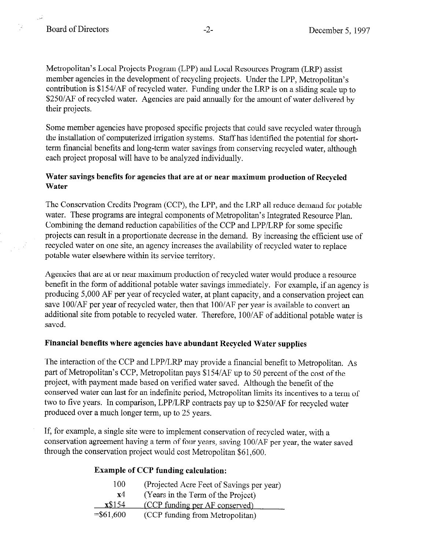Metropolitan's Local Projects Program (LPP) and Local Resources Program (LRP) assist member agencies in the development of recycling projects. Under the LPP, Metropolitan's contribution is \$154/AF of recycled water. Funding under the LRP is on a sliding scale up to \$250/AF of recycled water. Agencies are paid annually for the amount of water delivered by their projects.

Some member agencies have proposed specific projects that could save recycled water through the installation of computerized irrigation systems. Staff has identified the potential for shortterm financial benefits and long-term water savings from conserving recycled water, although each project proposal will have to be analyzed individually.

#### Water savings benefits for agencies that are at or near maximum production of Recycled Water

The Conservation Credits Program (CCP), the LPP, and the LRP all reduce demand for potable water. These programs are integral components of Metropolitan's Integrated Resource Plan. Combining the demand reduction capabilities of the CCP and LPP/LRP for some specific projects can result in a proportionate decrease in the demand. By increasing the efficient use of recycled water on one site, an agency increases the availability of recycled water to replace potable water elsewhere within its service territory.

Agencies that are at or near maximum production of recycled water would produce a resource benefit in the form of additional potable water savings immediately. For example, if an agency is producing 5,000 AF per year of recycled water, at plant capacity, and a conservation project can save 100/AF per year of recycled water, then that 100/AF per year is available to convert an additional site from potable to recycled water. Therefore, 100/AF of additional potable water is saved.

#### Financial benefits where agencies have abundant Recycled Water supplies

The interaction of the CCP and LPP/LRP may provide a financial benefit to Metropolitan. As part of Metropolitan's CCP, Metropolitan pays \$154/AF up to 50 percent of the cost of the project, with payment made based on verified water saved. Although the benefit of the conserved water can last for an indefinite period, Metropolitan limits its incentives to a term of two to five years. In comparison, LPP/LRP contracts pay up to \$250/AF for recycled water produced over a much longer term, up to 25 years.

If, for example, a single site were to implement conservation of recycled water, with a conservation agreement having a term of four years, saving 1 OO/AF per year, the water saved through the conservation project would cost Metropolitan \$61,600.

#### Example of CCP funding calculation:

| 100         | (Projected Acre Feet of Savings per year) |
|-------------|-------------------------------------------|
| x4          | (Years in the Term of the Project)        |
| x\$154      | (CCP funding per AF conserved)            |
| $= $61,600$ | (CCP funding from Metropolitan)           |